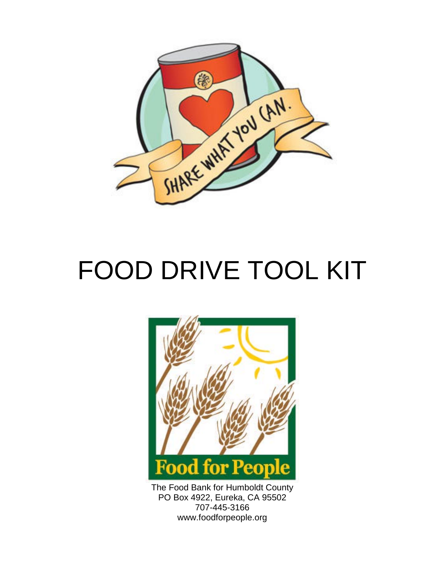

# FOOD DRIVE TOOL KIT



The Food Bank for Humboldt County PO Box 4922, Eureka, CA 95502 707-445-3166 www.foodforpeople.org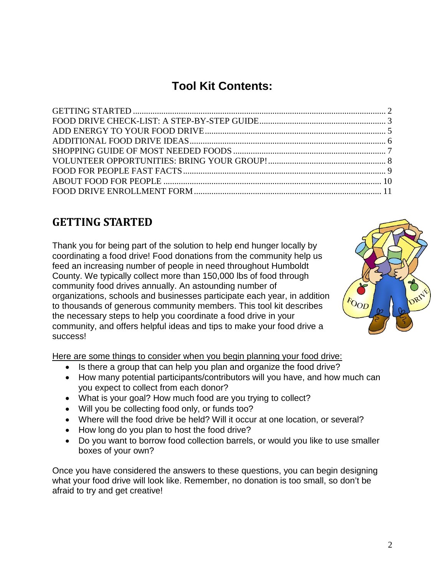# **Tool Kit Contents:**

## <span id="page-1-0"></span>**GETTING STARTED**

Thank you for being part of the solution to help end hunger locally by coordinating a food drive! Food donations from the community help us feed an increasing number of people in need throughout Humboldt County. We typically collect more than 150,000 lbs of food through community food drives annually. An astounding number of organizations, schools and businesses participate each year, in addition to thousands of generous community members. This tool kit describes the necessary steps to help you coordinate a food drive in your community, and offers helpful ideas and tips to make your food drive a success!

Here are some things to consider when you begin planning your food drive:

- Is there a group that can help you plan and organize the food drive?
- How many potential participants/contributors will you have, and how much can you expect to collect from each donor?
- What is your goal? How much food are you trying to collect?
- Will you be collecting food only, or funds too?
- Where will the food drive be held? Will it occur at one location, or several?
- How long do you plan to host the food drive?
- Do you want to borrow food collection barrels, or would you like to use smaller boxes of your own?

Once you have considered the answers to these questions, you can begin designing what your food drive will look like. Remember, no donation is too small, so don't be afraid to try and get creative!

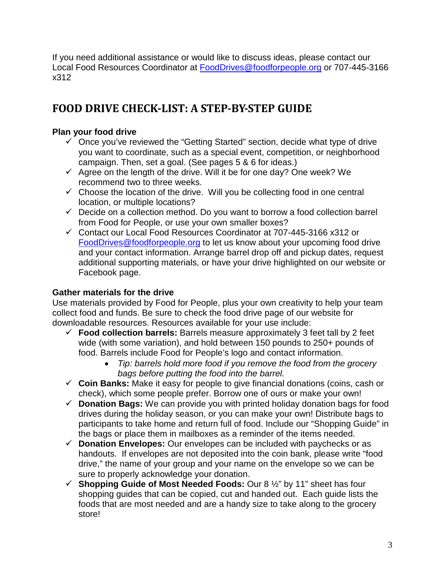If you need additional assistance or would like to discuss ideas, please contact our Local Food Resources Coordinator at [FoodDrives@foodforpeople.org](mailto:FoodDrives@foodforpeople.org) or 707-445-3166 x312

## <span id="page-2-0"></span>**FOOD DRIVE CHECK-LIST: A STEP-BY-STEP GUIDE**

### **Plan your food drive**

- $\checkmark$  Once you've reviewed the "Getting Started" section, decide what type of drive you want to coordinate, such as a special event, competition, or neighborhood campaign. Then, set a goal. (See pages 5 & 6 for ideas.)
- $\checkmark$  Agree on the length of the drive. Will it be for one day? One week? We recommend two to three weeks.
- $\checkmark$  Choose the location of the drive. Will you be collecting food in one central location, or multiple locations?
- $\checkmark$  Decide on a collection method. Do you want to borrow a food collection barrel from Food for People, or use your own smaller boxes?
- Contact our Local Food Resources Coordinator at 707-445-3166 x312 or [FoodDrives@foodforpeople.org](mailto:FoodDrives@foodforpeople.org) to let us know about your upcoming food drive and your contact information. Arrange barrel drop off and pickup dates, request additional supporting materials, or have your drive highlighted on our website or Facebook page.

## **Gather materials for the drive**

Use materials provided by Food for People, plus your own creativity to help your team collect food and funds. Be sure to check the food drive page of our website for downloadable resources. Resources available for your use include:

- **Food collection barrels:** Barrels measure approximately 3 feet tall by 2 feet wide (with some variation), and hold between 150 pounds to 250+ pounds of food. Barrels include Food for People's logo and contact information.
	- *Tip: barrels hold more food if you remove the food from the grocery bags before putting the food into the barrel.*
- **Coin Banks:** Make it easy for people to give financial donations (coins, cash or check), which some people prefer. Borrow one of ours or make your own!
- **Donation Bags:** We can provide you with printed holiday donation bags for food drives during the holiday season, or you can make your own! Distribute bags to participants to take home and return full of food. Include our "Shopping Guide" in the bags or place them in mailboxes as a reminder of the items needed.
- **Donation Envelopes:** Our envelopes can be included with paychecks or as handouts. If envelopes are not deposited into the coin bank, please write "food drive," the name of your group and your name on the envelope so we can be sure to properly acknowledge your donation.
- **Shopping Guide of Most Needed Foods:** Our 8 ½" by 11" sheet has four shopping guides that can be copied, cut and handed out. Each guide lists the foods that are most needed and are a handy size to take along to the grocery store!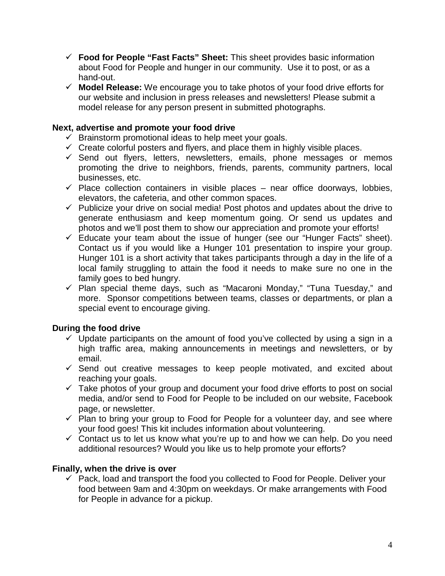- **Food for People "Fast Facts" Sheet:** This sheet provides basic information about Food for People and hunger in our community. Use it to post, or as a hand-out.
- **Model Release:** We encourage you to take photos of your food drive efforts for our website and inclusion in press releases and newsletters! Please submit a model release for any person present in submitted photographs.

### **Next, advertise and promote your food drive**

- $\checkmark$  Brainstorm promotional ideas to help meet your goals.
- $\checkmark$  Create colorful posters and flyers, and place them in highly visible places.
- $\checkmark$  Send out flyers, letters, newsletters, emails, phone messages or memos promoting the drive to neighbors, friends, parents, community partners, local businesses, etc.
- $\checkmark$  Place collection containers in visible places near office doorways, lobbies, elevators, the cafeteria, and other common spaces.
- $\checkmark$  Publicize your drive on social media! Post photos and updates about the drive to generate enthusiasm and keep momentum going. Or send us updates and photos and we'll post them to show our appreciation and promote your efforts!
- $\checkmark$  Educate your team about the issue of hunger (see our "Hunger Facts" sheet). Contact us if you would like a Hunger 101 presentation to inspire your group. Hunger 101 is a short activity that takes participants through a day in the life of a local family struggling to attain the food it needs to make sure no one in the family goes to bed hungry.
- $\checkmark$  Plan special theme days, such as "Macaroni Monday," "Tuna Tuesday," and more. Sponsor competitions between teams, classes or departments, or plan a special event to encourage giving.

## **During the food drive**

- $\checkmark$  Update participants on the amount of food you've collected by using a sign in a high traffic area, making announcements in meetings and newsletters, or by email.
- $\checkmark$  Send out creative messages to keep people motivated, and excited about reaching your goals.
- $\checkmark$  Take photos of your group and document your food drive efforts to post on social media, and/or send to Food for People to be included on our website, Facebook page, or newsletter.
- $\checkmark$  Plan to bring your group to Food for People for a volunteer day, and see where your food goes! This kit includes information about volunteering.
- $\checkmark$  Contact us to let us know what you're up to and how we can help. Do you need additional resources? Would you like us to help promote your efforts?

### **Finally, when the drive is over**

 $\checkmark$  Pack, load and transport the food you collected to Food for People. Deliver your food between 9am and 4:30pm on weekdays. Or make arrangements with Food for People in advance for a pickup.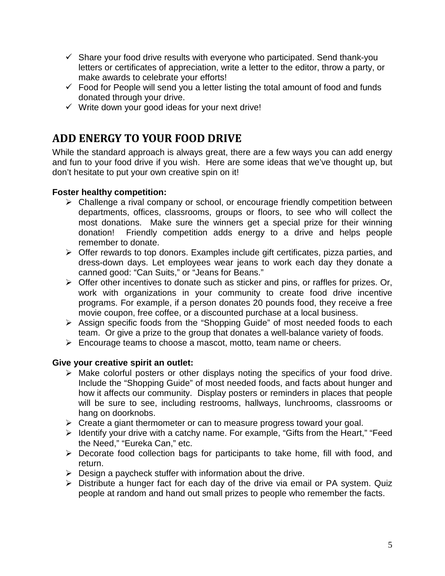- $\checkmark$  Share your food drive results with everyone who participated. Send thank-you letters or certificates of appreciation, write a letter to the editor, throw a party, or make awards to celebrate your efforts!
- $\checkmark$  Food for People will send you a letter listing the total amount of food and funds donated through your drive.
- $\checkmark$  Write down your good ideas for your next drive!

## <span id="page-4-0"></span>**ADD ENERGY TO YOUR FOOD DRIVE**

While the standard approach is always great, there are a few ways you can add energy and fun to your food drive if you wish. Here are some ideas that we've thought up, but don't hesitate to put your own creative spin on it!

### **Foster healthy competition:**

- $\triangleright$  Challenge a rival company or school, or encourage friendly competition between departments, offices, classrooms, groups or floors, to see who will collect the most donations. Make sure the winners get a special prize for their winning donation! Friendly competition adds energy to a drive and helps people remember to donate.
- $\triangleright$  Offer rewards to top donors. Examples include gift certificates, pizza parties, and dress-down days. Let employees wear jeans to work each day they donate a canned good: "Can Suits," or "Jeans for Beans."
- $\triangleright$  Offer other incentives to donate such as sticker and pins, or raffles for prizes. Or, work with organizations in your community to create food drive incentive programs. For example, if a person donates 20 pounds food, they receive a free movie coupon, free coffee, or a discounted purchase at a local business.
- Assign specific foods from the "Shopping Guide" of most needed foods to each team. Or give a prize to the group that donates a well-balance variety of foods.
- $\triangleright$  Encourage teams to choose a mascot, motto, team name or cheers.

### **Give your creative spirit an outlet:**

- $\triangleright$  Make colorful posters or other displays noting the specifics of your food drive. Include the "Shopping Guide" of most needed foods, and facts about hunger and how it affects our community. Display posters or reminders in places that people will be sure to see, including restrooms, hallways, lunchrooms, classrooms or hang on doorknobs.
- $\triangleright$  Create a giant thermometer or can to measure progress toward your goal.
- > Identify your drive with a catchy name. For example, "Gifts from the Heart," "Feed the Need," "Eureka Can," etc.
- $\triangleright$  Decorate food collection bags for participants to take home, fill with food, and return.
- $\triangleright$  Design a paycheck stuffer with information about the drive.
- $\triangleright$  Distribute a hunger fact for each day of the drive via email or PA system. Quiz people at random and hand out small prizes to people who remember the facts.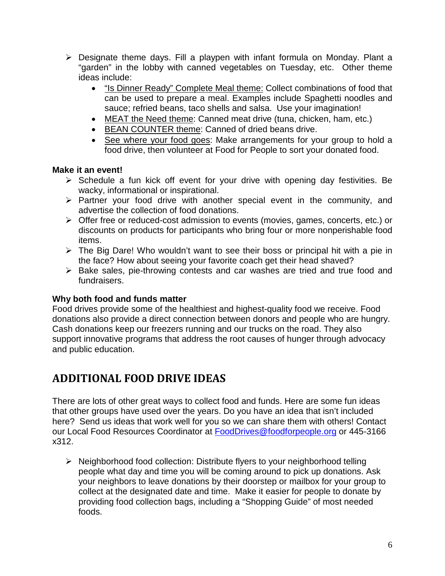- Designate theme days. Fill a playpen with infant formula on Monday. Plant a "garden" in the lobby with canned vegetables on Tuesday, etc. Other theme ideas include:
	- "Is Dinner Ready" Complete Meal theme: Collect combinations of food that can be used to prepare a meal. Examples include Spaghetti noodles and sauce; refried beans, taco shells and salsa. Use your imagination!
	- MEAT the Need theme: Canned meat drive (tuna, chicken, ham, etc.)
	- BEAN COUNTER theme: Canned of dried beans drive.
	- See where your food goes: Make arrangements for your group to hold a food drive, then volunteer at Food for People to sort your donated food.

### **Make it an event!**

- $\triangleright$  Schedule a fun kick off event for your drive with opening day festivities. Be wacky, informational or inspirational.
- $\triangleright$  Partner your food drive with another special event in the community, and advertise the collection of food donations.
- Offer free or reduced-cost admission to events (movies, games, concerts, etc.) or discounts on products for participants who bring four or more nonperishable food items.
- $\triangleright$  The Big Dare! Who wouldn't want to see their boss or principal hit with a pie in the face? How about seeing your favorite coach get their head shaved?
- $\triangleright$  Bake sales, pie-throwing contests and car washes are tried and true food and fundraisers.

### **Why both food and funds matter**

Food drives provide some of the healthiest and highest-quality food we receive. Food donations also provide a direct connection between donors and people who are hungry. Cash donations keep our freezers running and our trucks on the road. They also support innovative programs that address the root causes of hunger through advocacy and public education.

## <span id="page-5-0"></span>**ADDITIONAL FOOD DRIVE IDEAS**

There are lots of other great ways to collect food and funds. Here are some fun ideas that other groups have used over the years. Do you have an idea that isn't included here? Send us ideas that work well for you so we can share them with others! Contact our Local Food Resources Coordinator at [FoodDrives@foodforpeople.org](mailto:FoodDrives@foodforpeople.org) or 445-3166 x312.

▶ Neighborhood food collection: Distribute flyers to your neighborhood telling people what day and time you will be coming around to pick up donations. Ask your neighbors to leave donations by their doorstep or mailbox for your group to collect at the designated date and time. Make it easier for people to donate by providing food collection bags, including a "Shopping Guide" of most needed foods.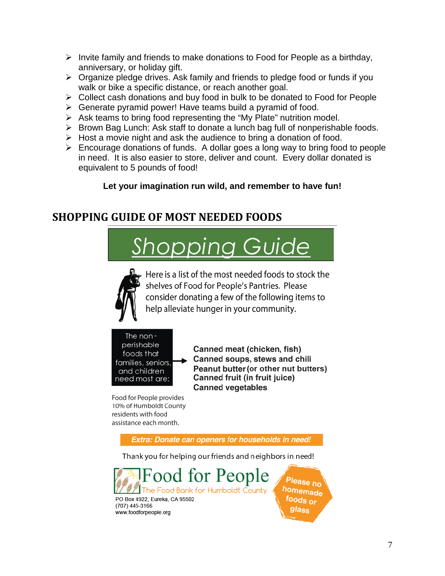- $\triangleright$  Invite family and friends to make donations to Food for People as a birthday, anniversary, or holiday gift.
- $\triangleright$  Organize pledge drives. Ask family and friends to pledge food or funds if you walk or bike a specific distance, or reach another goal.
- Collect cash donations and buy food in bulk to be donated to Food for People
- $\triangleright$  Generate pyramid power! Have teams build a pyramid of food.
- $\triangleright$  Ask teams to bring food representing the "My Plate" nutrition model.
- $\triangleright$  Brown Bag Lunch: Ask staff to donate a lunch bag full of nonperishable foods.
- $\triangleright$  Host a movie night and ask the audience to bring a donation of food.
- $\triangleright$  Encourage donations of funds. A dollar goes a long way to bring food to people in need. It is also easier to store, deliver and count. Every dollar donated is equivalent to 5 pounds of food!

## **Let your imagination run wild, and remember to have fun!**

## <span id="page-6-0"></span>**SHOPPING GUIDE OF MOST NEEDED FOODS**

# Shopping Guide



Here is a list of the most needed foods to stock the shelves of Food for People's Pantries. Please consider donating a few of the following items to help alleviate hunger in your community.



Canned meat (chicken, fish) Canned soups, stews and chili Peanut butter (or other nut butters) Canned fruit (in fruit juice) **Canned vegetables** 

Food for People provides 10% of Humboldt County residents with food assistance each month.

Extra: Donate can openers for households in need!

Thank you for helping our friends and neighbors in need!



Please no homemade foods or glass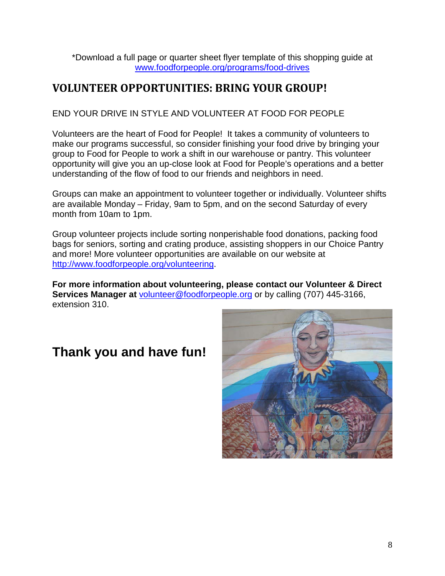\*Download a full page or quarter sheet flyer template of this shopping guide at [www.foodforpeople.org/programs/food-drives](http://www.foodforpeople.org/programs/food-drives)

## <span id="page-7-0"></span>**VOLUNTEER OPPORTUNITIES: BRING YOUR GROUP!**

### END YOUR DRIVE IN STYLE AND VOLUNTEER AT FOOD FOR PEOPLE

Volunteers are the heart of Food for People! It takes a community of volunteers to make our programs successful, so consider finishing your food drive by bringing your group to Food for People to work a shift in our warehouse or pantry. This volunteer opportunity will give you an up-close look at Food for People's operations and a better understanding of the flow of food to our friends and neighbors in need.

Groups can make an appointment to volunteer together or individually. Volunteer shifts are available Monday – Friday, 9am to 5pm, and on the second Saturday of every month from 10am to 1pm.

Group volunteer projects include sorting nonperishable food donations, packing food bags for seniors, sorting and crating produce, assisting shoppers in our Choice Pantry and more! More volunteer opportunities are available on our website at [http://www.foodforpeople.org/volunteering.](http://www.foodforpeople.org/volunteering)

**For more information about volunteering, please contact our Volunteer & Direct Services Manager at** [volunteer@foodforpeople.org](mailto:volunteer@foodforpeople.org) or by calling (707) 445-3166, extension 310.

# **Thank you and have fun!**

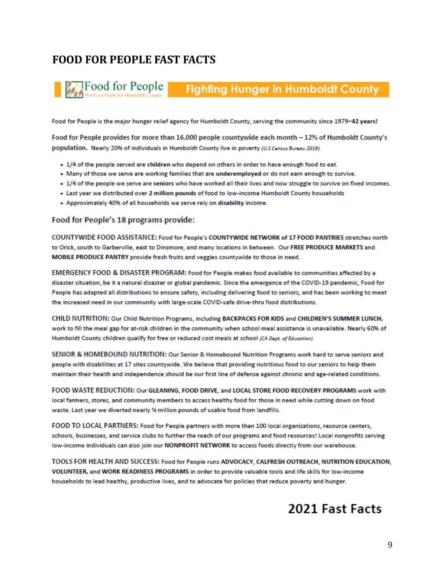## <span id="page-8-0"></span>**FOOD FOR PEOPLE FAST FACTS**

# Fighting Hunger in Humboldt County

Food for People is the major hunger relief agency for Humboldt County, serving the community since 1979-42 years!

Food for People provides for more than 16,000 people countywide each month - 12% of Humboldt County's population. Nearly 20% of individuals in Humboldt County live in poverty (U.S Census Bureau 2019).

- 1/4 of the people served are children who depend on others in order to have enough food to eat.
- . Many of those we serve are working families that are underemployed or do not earn enough to survive.
- . 1/4 of the people we serve are seniors who have worked all their lives and now struggle to survive on fixed incomes.
- . Last year we distributed over 2 million pounds of food to low-income Humboldt County households
- . Approximately 40% of all households we serve rely on disability income.

#### Food for People's 18 programs provide:

COUNTYWIDE FOOD ASSISTANCE: Food for People's COUNTYWIDE NETWORK of 17 FOOD PANTRIES stretches north to Orick, south to Garberville, east to Dinsmore, and many locations in between. Our FREE PRODUCE MARKETS and MOBILE PRODUCE PANTRY provide fresh fruits and veggies countywide to those in need.

EMERGENCY FOOD & DISASTER PROGRAM: Food for People makes food available to communities affected by a disaster situation, be it a natural disaster or global pandemic. Since the emergence of the COVID-19 pandemic, Food for People has adapted all distributions to ensure safety, including delivering food to seniors, and has been working to meet the increased need in our community with large-scale COVID-safe drive-thru food distributions.

CHILD NUTRITION: Our Child Nutrition Programs, including BACKPACKS FOR KIDS and CHILDREN'S SUMMER LUNCH, work to fill the meal gap for at-risk children in the community when school meal assistance is unavailable. Nearly 60% of Humboldt County children qualify for free or reduced cost meals at school (CA Dept. of Education).

SENIOR & HOMEBOUND NUTRITION: Our Senior & Homebound Nutrition Programs work hard to serve seniors and people with disabilities at 17 sites countywide. We believe that providing nutritious food to our seniors to help them maintain their health and independence should be our first line of defense against chronic and age-related conditions.

FOOD WASTE REDUCTION: Our GLEANING, FOOD DRIVE, and LOCAL STORE FOOD RECOVERY PROGRAMS work with local farmers, stores, and community members to access healthy food for those in need while cutting down on food waste. Last year we diverted nearly % million pounds of usable food from landfills.

FOOD TO LOCAL PARTNERS: Food for People partners with more than 100 local organizations, resource centers, schools, businesses, and service clubs to further the reach of our programs and food resources! Local nonprofits serving low-income individuals can also join our NONPROFIT NETWORK to access foods directly from our warehouse.

TOOLS FOR HEALTH AND SUCCESS: Food for People runs ADVOCACY, CALFRESH OUTREACH, NUTRITION EDUCATION, VOLUNTEER, and WORK READINESS PROGRAMS in order to provide valuable tools and life skills for low-income households to lead healthy, productive lives, and to advocate for policies that reduce poverty and hunger.

## 2021 Fast Facts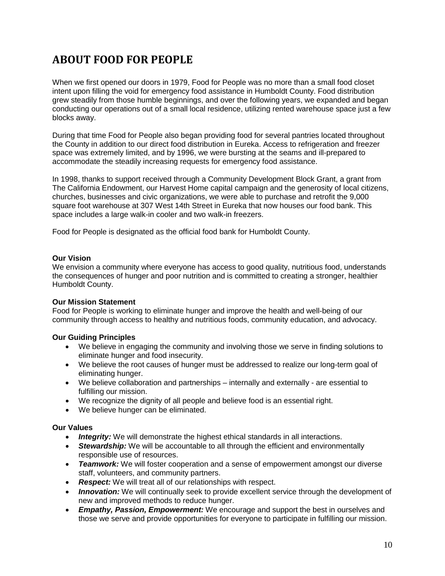## <span id="page-9-0"></span>**ABOUT FOOD FOR PEOPLE**

When we first opened our doors in 1979, Food for People was no more than a small food closet intent upon filling the void for emergency food assistance in Humboldt County. Food distribution grew steadily from those humble beginnings, and over the following years, we expanded and began conducting our operations out of a small local residence, utilizing rented warehouse space just a few blocks away.

During that time Food for People also began providing food for several pantries located throughout the County in addition to our direct food distribution in Eureka. Access to refrigeration and freezer space was extremely limited, and by 1996, we were bursting at the seams and ill-prepared to accommodate the steadily increasing requests for emergency food assistance.

In 1998, thanks to support received through a Community Development Block Grant, a grant from The California Endowment, our Harvest Home capital campaign and the generosity of local citizens, churches, businesses and civic organizations, we were able to purchase and retrofit the 9,000 square foot warehouse at 307 West 14th Street in Eureka that now houses our food bank. This space includes a large walk-in cooler and two walk-in freezers.

Food for People is designated as the official food bank for Humboldt County.

### **Our Vision**

We envision a community where everyone has access to good quality, nutritious food, understands the consequences of hunger and poor nutrition and is committed to creating a stronger, healthier Humboldt County.

### **Our Mission Statement**

Food for People is working to eliminate hunger and improve the health and well-being of our community through access to healthy and nutritious foods, community education, and advocacy.

### **Our Guiding Principles**

- We believe in engaging the community and involving those we serve in finding solutions to eliminate hunger and food insecurity.
- We believe the root causes of hunger must be addressed to realize our long-term goal of eliminating hunger.
- We believe collaboration and partnerships internally and externally are essential to fulfilling our mission.
- We recognize the dignity of all people and believe food is an essential right.
- We believe hunger can be eliminated.

### **Our Values**

- *Integrity:* We will demonstrate the highest ethical standards in all interactions.
- *Stewardship:* We will be accountable to all through the efficient and environmentally responsible use of resources.
- *Teamwork:* We will foster cooperation and a sense of empowerment amongst our diverse staff, volunteers, and community partners.
- *Respect:* We will treat all of our relationships with respect.
- **Innovation:** We will continually seek to provide excellent service through the development of new and improved methods to reduce hunger.
- *Empathy, Passion, Empowerment:* We encourage and support the best in ourselves and those we serve and provide opportunities for everyone to participate in fulfilling our mission.